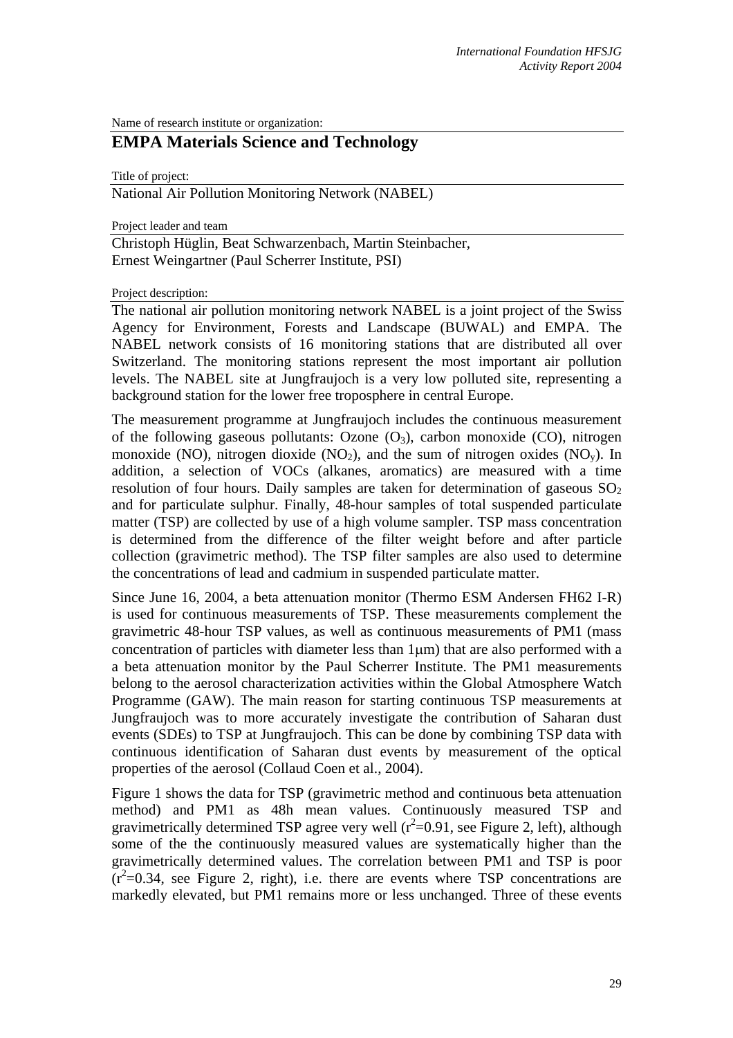Name of research institute or organization:

## **EMPA Materials Science and Technology**

Title of project:

National Air Pollution Monitoring Network (NABEL)

Project leader and team

Christoph Hüglin, Beat Schwarzenbach, Martin Steinbacher, Ernest Weingartner (Paul Scherrer Institute, PSI)

Project description:

The national air pollution monitoring network NABEL is a joint project of the Swiss Agency for Environment, Forests and Landscape (BUWAL) and EMPA. The NABEL network consists of 16 monitoring stations that are distributed all over Switzerland. The monitoring stations represent the most important air pollution levels. The NABEL site at Jungfraujoch is a very low polluted site, representing a background station for the lower free troposphere in central Europe.

The measurement programme at Jungfraujoch includes the continuous measurement of the following gaseous pollutants: Ozone  $(O_3)$ , carbon monoxide  $(CO)$ , nitrogen monoxide (NO), nitrogen dioxide (NO<sub>2</sub>), and the sum of nitrogen oxides (NO<sub>v</sub>). In addition, a selection of VOCs (alkanes, aromatics) are measured with a time resolution of four hours. Daily samples are taken for determination of gaseous  $SO<sub>2</sub>$ and for particulate sulphur. Finally, 48-hour samples of total suspended particulate matter (TSP) are collected by use of a high volume sampler. TSP mass concentration is determined from the difference of the filter weight before and after particle collection (gravimetric method). The TSP filter samples are also used to determine the concentrations of lead and cadmium in suspended particulate matter.

Since June 16, 2004, a beta attenuation monitor (Thermo ESM Andersen FH62 I-R) is used for continuous measurements of TSP. These measurements complement the gravimetric 48-hour TSP values, as well as continuous measurements of PM1 (mass concentration of particles with diameter less than 1µm) that are also performed with a a beta attenuation monitor by the Paul Scherrer Institute. The PM1 measurements belong to the aerosol characterization activities within the Global Atmosphere Watch Programme (GAW). The main reason for starting continuous TSP measurements at Jungfraujoch was to more accurately investigate the contribution of Saharan dust events (SDEs) to TSP at Jungfraujoch. This can be done by combining TSP data with continuous identification of Saharan dust events by measurement of the optical properties of the aerosol (Collaud Coen et al., 2004).

Figure 1 shows the data for TSP (gravimetric method and continuous beta attenuation method) and PM1 as 48h mean values. Continuously measured TSP and gravimetrically determined TSP agree very well  $(r^2=0.91,$  see Figure 2, left), although some of the the continuously measured values are systematically higher than the gravimetrically determined values. The correlation between PM1 and TSP is poor  $(r^2=0.34$ , see Figure 2, right), i.e. there are events where TSP concentrations are markedly elevated, but PM1 remains more or less unchanged. Three of these events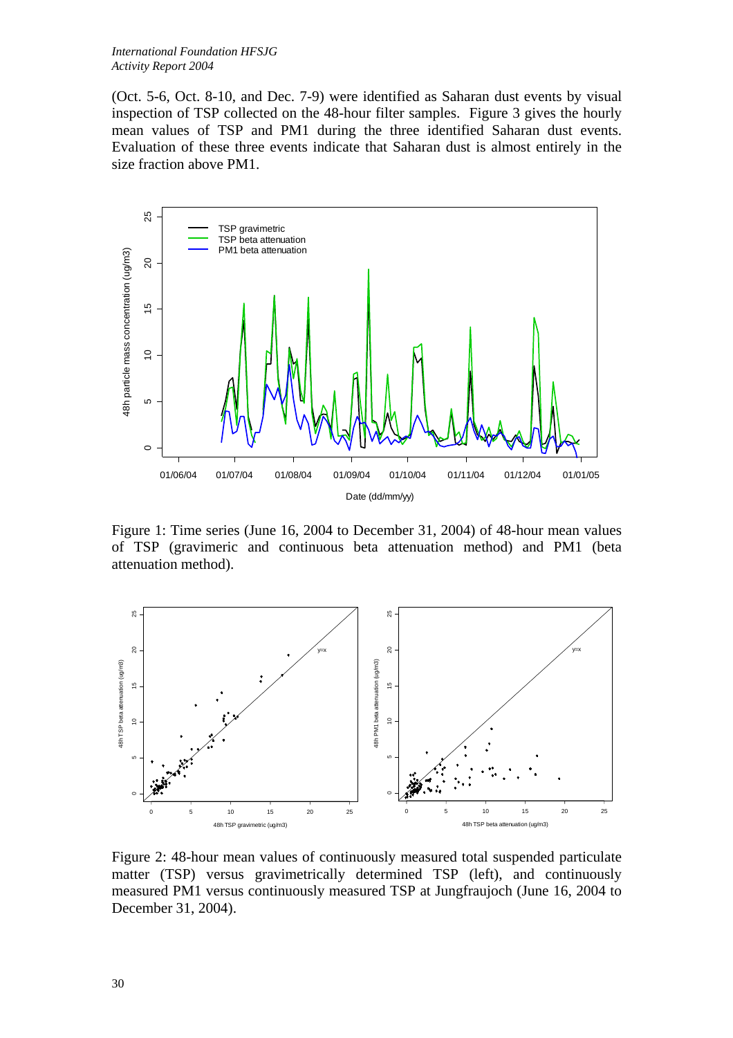(Oct. 5-6, Oct. 8-10, and Dec. 7-9) were identified as Saharan dust events by visual inspection of TSP collected on the 48-hour filter samples. Figure 3 gives the hourly mean values of TSP and PM1 during the three identified Saharan dust events. Evaluation of these three events indicate that Saharan dust is almost entirely in the size fraction above PM1.



Figure 1: Time series (June 16, 2004 to December 31, 2004) of 48-hour mean values of TSP (gravimeric and continuous beta attenuation method) and PM1 (beta attenuation method).



Figure 2: 48-hour mean values of continuously measured total suspended particulate matter (TSP) versus gravimetrically determined TSP (left), and continuously measured PM1 versus continuously measured TSP at Jungfraujoch (June 16, 2004 to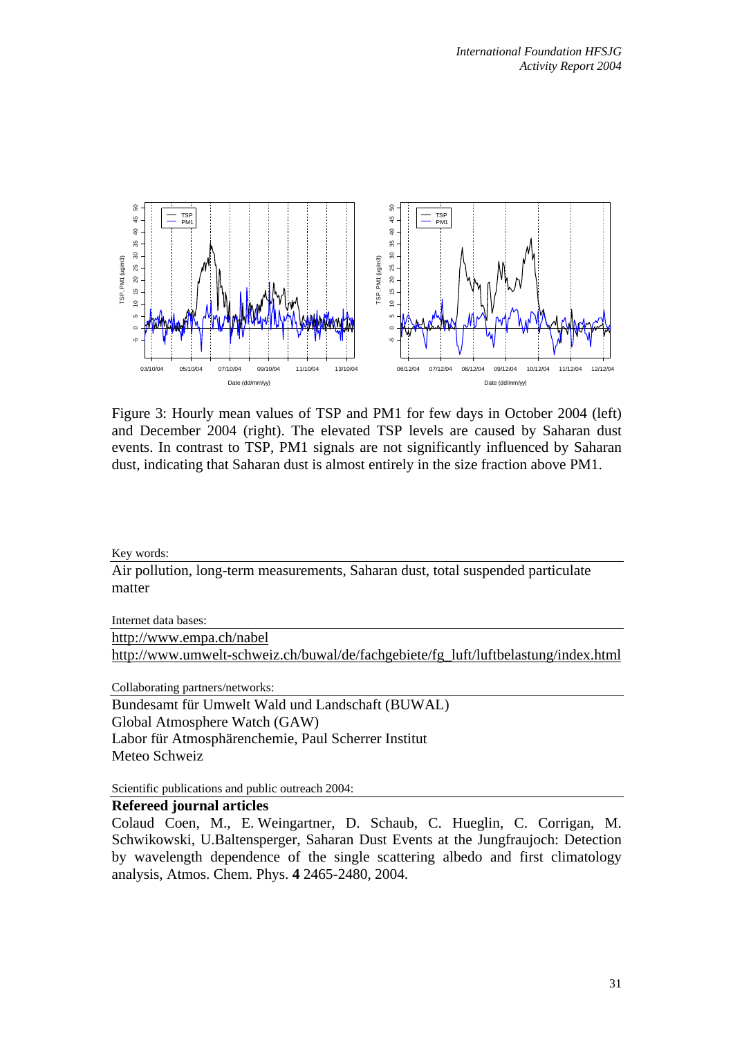

Figure 3: Hourly mean values of TSP and PM1 for few days in October 2004 (left) and December 2004 (right). The elevated TSP levels are caused by Saharan dust events. In contrast to TSP, PM1 signals are not significantly influenced by Saharan dust, indicating that Saharan dust is almost entirely in the size fraction above PM1.

Key words:

Air pollution, long-term measurements, Saharan dust, total suspended particulate matter

Internet data bases:

[http://www.empa.ch/nabel](http://kspc4.unibe.ch/nm/index1.html) [http://www.umwelt-schweiz.ch/buwal/de/fachgebiete/fg\\_luft/luftbelastung/index.html](http://www.umwelt-schweiz.ch/buwal/de/fachgebiete/fg_luft/luftbelastung/index.html)

Collaborating partners/networks:

Bundesamt für Umwelt Wald und Landschaft (BUWAL) Global Atmosphere Watch (GAW) Labor für Atmosphärenchemie, Paul Scherrer Institut Meteo Schweiz

Scientific publications and public outreach 2004:

## **Refereed journal articles**

Colaud Coen, M., E. Weingartner, D. Schaub, C. Hueglin, C. Corrigan, M. Schwikowski, U.Baltensperger, Saharan Dust Events at the Jungfraujoch: Detection by wavelength dependence of the single scattering albedo and first climatology analysis, Atmos. Chem. Phys. **4** 2465-2480, 2004.